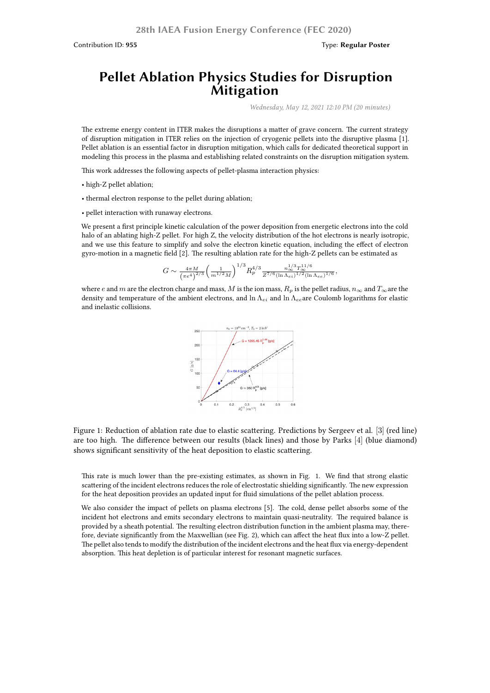Contribution ID: **955** Type: **Regular Poster**

## **Pellet Ablation Physics Studies for Disruption Mitigation**

*Wednesday, May 12, 2021 12:10 PM (20 minutes)*

The extreme energy content in ITER makes the disruptions a matter of grave concern. The current strategy of disruption mitigation in ITER relies on the injection of cryogenic pellets into the disruptive plasma [1]. Pellet ablation is an essential factor in disruption mitigation, which calls for dedicated theoretical support in modeling this process in the plasma and establishing related constraints on the disruption mitigation system.

This work addresses the following aspects of pellet-plasma interaction physics:

- high-Z pellet ablation;
- thermal electron response to the pellet during ablation;
- pellet interaction with runaway electrons.

We present a first principle kinetic calculation of the power deposition from energetic electrons into the cold halo of an ablating high-Z pellet. For high Z, the velocity distribution of the hot electrons is nearly isotropic, and we use this feature to simplify and solve the electron kinetic equation, including the effect of electron gyro-motion in a magnetic field [2]. The resulting ablation rate for the high-Z pellets can be estimated as

$$
G \sim \frac{4\pi M}{(\pi e^4)^{2/3}} \left(\frac{1}{m^{1/2}M}\right)^{1/3} R_p^{4/3} \frac{n_{\infty}^{1/3} T_{\infty}^{11/6}}{Z^{7/6} (\ln \Lambda_{ei})^{1/2} (\ln \Lambda_{ee})^{1/6}},
$$

where *e* and *m* are the electron charge and mass, *M* is the ion mass,  $R_p$  is the pellet radius,  $n_{\infty}$  and  $T_{\infty}$  are the density and temperature of the ambient electrons, and ln Λ*ei* and ln Λ*ee*are Coulomb logarithms for elastic and inelastic collisions.



Figure 1: Reduction of ablation rate due to elastic scattering. Predictions by Sergeev et al. [3] (red line) are too high. The difference between our results (black lines) and those by Parks [4] (blue diamond) shows significant sensitivity of the heat deposition to elastic scattering.

This rate is much lower than the pre-existing estimates, as shown in Fig. 1. We find that strong elastic scattering of the incident electrons reduces the role of electrostatic shielding significantly. The new expression for the heat deposition provides an updated input for fluid simulations of the pellet ablation process.

We also consider the impact of pellets on plasma electrons [5]. The cold, dense pellet absorbs some of the incident hot electrons and emits secondary electrons to maintain quasi-neutrality. The required balance is provided by a sheath potential. The resulting electron distribution function in the ambient plasma may, therefore, deviate significantly from the Maxwellian (see Fig. 2), which can affect the heat flux into a low-Z pellet. The pellet also tends to modify the distribution of the incident electrons and the heat flux via energy-dependent absorption. This heat depletion is of particular interest for resonant magnetic surfaces.